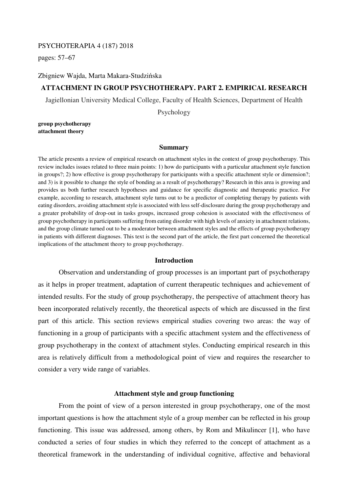### PSYCHOTERAPIA 4 (187) 2018

pages: 57–67

## Zbigniew Wajda, Marta Makara-Studzińska

# **ATTACHMENT IN GROUP PSYCHOTHERAPY. PART 2. EMPIRICAL RESEARCH**

Jagiellonian University Medical College, Faculty of Health Sciences, Department of Health

Psychology

**group psychotherapy attachment theory** 

#### **Summary**

The article presents a review of empirical research on attachment styles in the context of group psychotherapy. This review includes issues related to three main points: 1) how do participants with a particular attachment style function in groups?; 2) how effective is group psychotherapy for participants with a specific attachment style or dimension?; and 3) is it possible to change the style of bonding as a result of psychotherapy? Research in this area is growing and provides us both further research hypotheses and guidance for specific diagnostic and therapeutic practice. For example, according to research, attachment style turns out to be a predictor of completing therapy by patients with eating disorders, avoiding attachment style is associated with less self-disclosure during the group psychotherapy and a greater probability of drop-out in tasks groups, increased group cohesion is associated with the effectiveness of group psychotherapy in participants suffering from eating disorder with high levels of anxiety in attachment relations, and the group climate turned out to be a moderator between attachment styles and the effects of group psychotherapy in patients with different diagnoses. This text is the second part of the article, the first part concerned the theoretical implications of the attachment theory to group psychotherapy.

## **Introduction**

Observation and understanding of group processes is an important part of psychotherapy as it helps in proper treatment, adaptation of current therapeutic techniques and achievement of intended results. For the study of group psychotherapy, the perspective of attachment theory has been incorporated relatively recently, the theoretical aspects of which are discussed in the first part of this article. This section reviews empirical studies covering two areas: the way of functioning in a group of participants with a specific attachment system and the effectiveness of group psychotherapy in the context of attachment styles. Conducting empirical research in this area is relatively difficult from a methodological point of view and requires the researcher to consider a very wide range of variables.

## **Attachment style and group functioning**

From the point of view of a person interested in group psychotherapy, one of the most important questions is how the attachment style of a group member can be reflected in his group functioning. This issue was addressed, among others, by Rom and Mikulincer [1], who have conducted a series of four studies in which they referred to the concept of attachment as a theoretical framework in the understanding of individual cognitive, affective and behavioral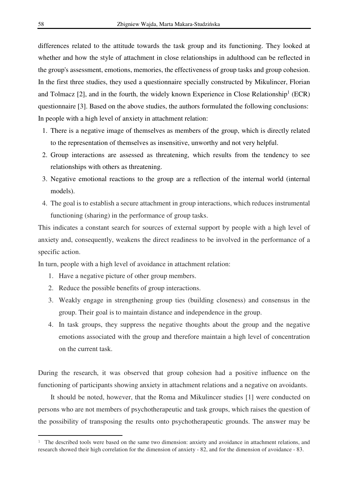differences related to the attitude towards the task group and its functioning. They looked at whether and how the style of attachment in close relationships in adulthood can be reflected in the group's assessment, emotions, memories, the effectiveness of group tasks and group cohesion. In the first three studies, they used a questionnaire specially constructed by Mikulincer, Florian and Tolmacz  $[2]$ , and in the fourth, the widely known Experience in Close Relationship<sup>1</sup> (ECR) questionnaire [3]. Based on the above studies, the authors formulated the following conclusions: In people with a high level of anxiety in attachment relation:

- 1. There is a negative image of themselves as members of the group, which is directly related to the representation of themselves as insensitive, unworthy and not very helpful.
- 2. Group interactions are assessed as threatening, which results from the tendency to see relationships with others as threatening.
- 3. Negative emotional reactions to the group are a reflection of the internal world (internal models).
- 4. The goal is to establish a secure attachment in group interactions, which reduces instrumental functioning (sharing) in the performance of group tasks.

This indicates a constant search for sources of external support by people with a high level of anxiety and, consequently, weakens the direct readiness to be involved in the performance of a specific action.

In turn, people with a high level of avoidance in attachment relation:

- 1. Have a negative picture of other group members.
- 2. Reduce the possible benefits of group interactions.
- 3. Weakly engage in strengthening group ties (building closeness) and consensus in the group. Their goal is to maintain distance and independence in the group.
- 4. In task groups, they suppress the negative thoughts about the group and the negative emotions associated with the group and therefore maintain a high level of concentration on the current task.

During the research, it was observed that group cohesion had a positive influence on the functioning of participants showing anxiety in attachment relations and a negative on avoidants.

It should be noted, however, that the Roma and Mikulincer studies [1] were conducted on persons who are not members of psychotherapeutic and task groups, which raises the question of the possibility of transposing the results onto psychotherapeutic grounds. The answer may be

l

<sup>&</sup>lt;sup>1</sup> The described tools were based on the same two dimension: anxiety and avoidance in attachment relations, and research showed their high correlation for the dimension of anxiety - 82, and for the dimension of avoidance - 83.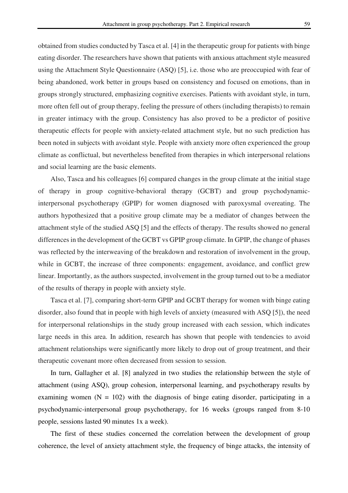obtained from studies conducted by Tasca et al. [4] in the therapeutic group for patients with binge eating disorder. The researchers have shown that patients with anxious attachment style measured using the Attachment Style Questionnaire (ASQ) [5], i.e. those who are preoccupied with fear of being abandoned, work better in groups based on consistency and focused on emotions, than in groups strongly structured, emphasizing cognitive exercises. Patients with avoidant style, in turn, more often fell out of group therapy, feeling the pressure of others (including therapists) to remain in greater intimacy with the group. Consistency has also proved to be a predictor of positive therapeutic effects for people with anxiety-related attachment style, but no such prediction has been noted in subjects with avoidant style. People with anxiety more often experienced the group climate as conflictual, but nevertheless benefited from therapies in which interpersonal relations and social learning are the basic elements.

Also, Tasca and his colleagues [6] compared changes in the group climate at the initial stage of therapy in group cognitive-behavioral therapy (GCBT) and group psychodynamicinterpersonal psychotherapy (GPIP) for women diagnosed with paroxysmal overeating. The authors hypothesized that a positive group climate may be a mediator of changes between the attachment style of the studied ASQ [5] and the effects of therapy. The results showed no general differences in the development of the GCBT vs GPIP group climate. In GPIP, the change of phases was reflected by the interweaving of the breakdown and restoration of involvement in the group, while in GCBT, the increase of three components: engagement, avoidance, and conflict grew linear. Importantly, as the authors suspected, involvement in the group turned out to be a mediator of the results of therapy in people with anxiety style.

Tasca et al. [7], comparing short-term GPIP and GCBT therapy for women with binge eating disorder, also found that in people with high levels of anxiety (measured with ASQ [5]), the need for interpersonal relationships in the study group increased with each session, which indicates large needs in this area. In addition, research has shown that people with tendencies to avoid attachment relationships were significantly more likely to drop out of group treatment, and their therapeutic covenant more often decreased from session to session.

In turn, Gallagher et al. [8] analyzed in two studies the relationship between the style of attachment (using ASQ), group cohesion, interpersonal learning, and psychotherapy results by examining women  $(N = 102)$  with the diagnosis of binge eating disorder, participating in a psychodynamic-interpersonal group psychotherapy, for 16 weeks (groups ranged from 8-10 people, sessions lasted 90 minutes 1x a week).

The first of these studies concerned the correlation between the development of group coherence, the level of anxiety attachment style, the frequency of binge attacks, the intensity of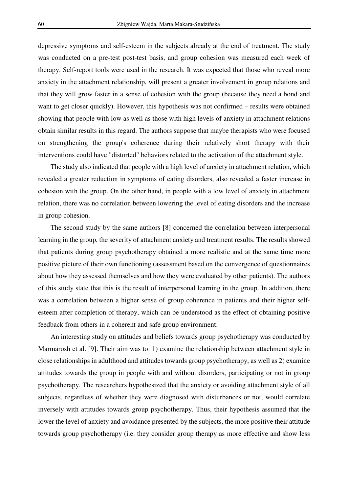depressive symptoms and self-esteem in the subjects already at the end of treatment. The study was conducted on a pre-test post-test basis, and group cohesion was measured each week of therapy. Self-report tools were used in the research. It was expected that those who reveal more anxiety in the attachment relationship, will present a greater involvement in group relations and that they will grow faster in a sense of cohesion with the group (because they need a bond and want to get closer quickly). However, this hypothesis was not confirmed – results were obtained showing that people with low as well as those with high levels of anxiety in attachment relations obtain similar results in this regard. The authors suppose that maybe therapists who were focused on strengthening the group's coherence during their relatively short therapy with their interventions could have "distorted" behaviors related to the activation of the attachment style.

The study also indicated that people with a high level of anxiety in attachment relation, which revealed a greater reduction in symptoms of eating disorders, also revealed a faster increase in cohesion with the group. On the other hand, in people with a low level of anxiety in attachment relation, there was no correlation between lowering the level of eating disorders and the increase in group cohesion.

The second study by the same authors [8] concerned the correlation between interpersonal learning in the group, the severity of attachment anxiety and treatment results. The results showed that patients during group psychotherapy obtained a more realistic and at the same time more positive picture of their own functioning (assessment based on the convergence of questionnaires about how they assessed themselves and how they were evaluated by other patients). The authors of this study state that this is the result of interpersonal learning in the group. In addition, there was a correlation between a higher sense of group coherence in patients and their higher selfesteem after completion of therapy, which can be understood as the effect of obtaining positive feedback from others in a coherent and safe group environment.

An interesting study on attitudes and beliefs towards group psychotherapy was conducted by Marmarosh et al. [9]. Their aim was to: 1) examine the relationship between attachment style in close relationships in adulthood and attitudes towards group psychotherapy, as well as 2) examine attitudes towards the group in people with and without disorders, participating or not in group psychotherapy. The researchers hypothesized that the anxiety or avoiding attachment style of all subjects, regardless of whether they were diagnosed with disturbances or not, would correlate inversely with attitudes towards group psychotherapy. Thus, their hypothesis assumed that the lower the level of anxiety and avoidance presented by the subjects, the more positive their attitude towards group psychotherapy (i.e. they consider group therapy as more effective and show less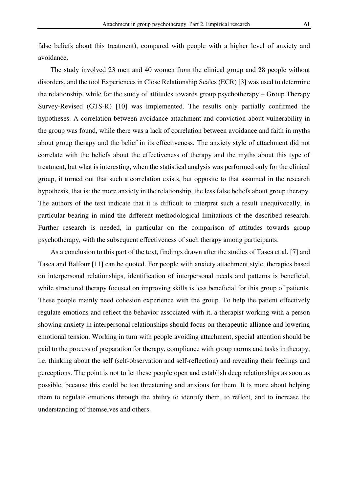false beliefs about this treatment), compared with people with a higher level of anxiety and avoidance.

The study involved 23 men and 40 women from the clinical group and 28 people without disorders, and the tool Experiences in Close Relationship Scales (ECR) [3] was used to determine the relationship, while for the study of attitudes towards group psychotherapy – Group Therapy Survey-Revised (GTS-R) [10] was implemented. The results only partially confirmed the hypotheses. A correlation between avoidance attachment and conviction about vulnerability in the group was found, while there was a lack of correlation between avoidance and faith in myths about group therapy and the belief in its effectiveness. The anxiety style of attachment did not correlate with the beliefs about the effectiveness of therapy and the myths about this type of treatment, but what is interesting, when the statistical analysis was performed only for the clinical group, it turned out that such a correlation exists, but opposite to that assumed in the research hypothesis, that is: the more anxiety in the relationship, the less false beliefs about group therapy. The authors of the text indicate that it is difficult to interpret such a result unequivocally, in particular bearing in mind the different methodological limitations of the described research. Further research is needed, in particular on the comparison of attitudes towards group psychotherapy, with the subsequent effectiveness of such therapy among participants.

As a conclusion to this part of the text, findings drawn after the studies of Tasca et al. [7] and Tasca and Balfour [11] can be quoted. For people with anxiety attachment style, therapies based on interpersonal relationships, identification of interpersonal needs and patterns is beneficial, while structured therapy focused on improving skills is less beneficial for this group of patients. These people mainly need cohesion experience with the group. To help the patient effectively regulate emotions and reflect the behavior associated with it, a therapist working with a person showing anxiety in interpersonal relationships should focus on therapeutic alliance and lowering emotional tension. Working in turn with people avoiding attachment, special attention should be paid to the process of preparation for therapy, compliance with group norms and tasks in therapy, i.e. thinking about the self (self-observation and self-reflection) and revealing their feelings and perceptions. The point is not to let these people open and establish deep relationships as soon as possible, because this could be too threatening and anxious for them. It is more about helping them to regulate emotions through the ability to identify them, to reflect, and to increase the understanding of themselves and others.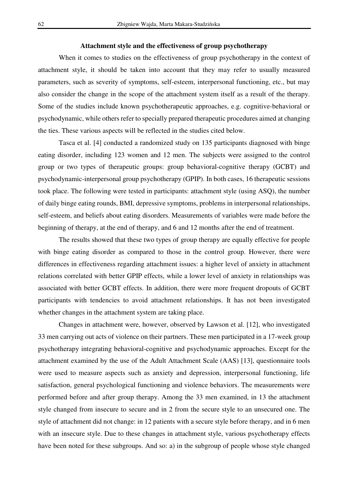### **Attachment style and the effectiveness of group psychotherapy**

When it comes to studies on the effectiveness of group psychotherapy in the context of attachment style, it should be taken into account that they may refer to usually measured parameters, such as severity of symptoms, self-esteem, interpersonal functioning, etc., but may also consider the change in the scope of the attachment system itself as a result of the therapy. Some of the studies include known psychotherapeutic approaches, e.g. cognitive-behavioral or psychodynamic, while others refer to specially prepared therapeutic procedures aimed at changing the ties. These various aspects will be reflected in the studies cited below.

Tasca et al. [4] conducted a randomized study on 135 participants diagnosed with binge eating disorder, including 123 women and 12 men. The subjects were assigned to the control group or two types of therapeutic groups: group behavioral-cognitive therapy (GCBT) and psychodynamic-interpersonal group psychotherapy (GPIP). In both cases, 16 therapeutic sessions took place. The following were tested in participants: attachment style (using ASQ), the number of daily binge eating rounds, BMI, depressive symptoms, problems in interpersonal relationships, self-esteem, and beliefs about eating disorders. Measurements of variables were made before the beginning of therapy, at the end of therapy, and 6 and 12 months after the end of treatment.

The results showed that these two types of group therapy are equally effective for people with binge eating disorder as compared to those in the control group. However, there were differences in effectiveness regarding attachment issues: a higher level of anxiety in attachment relations correlated with better GPIP effects, while a lower level of anxiety in relationships was associated with better GCBT effects. In addition, there were more frequent dropouts of GCBT participants with tendencies to avoid attachment relationships. It has not been investigated whether changes in the attachment system are taking place.

Changes in attachment were, however, observed by Lawson et al. [12], who investigated 33 men carrying out acts of violence on their partners. These men participated in a 17-week group psychotherapy integrating behavioral-cognitive and psychodynamic approaches. Except for the attachment examined by the use of the Adult Attachment Scale (AAS) [13], questionnaire tools were used to measure aspects such as anxiety and depression, interpersonal functioning, life satisfaction, general psychological functioning and violence behaviors. The measurements were performed before and after group therapy. Among the 33 men examined, in 13 the attachment style changed from insecure to secure and in 2 from the secure style to an unsecured one. The style of attachment did not change: in 12 patients with a secure style before therapy, and in 6 men with an insecure style. Due to these changes in attachment style, various psychotherapy effects have been noted for these subgroups. And so: a) in the subgroup of people whose style changed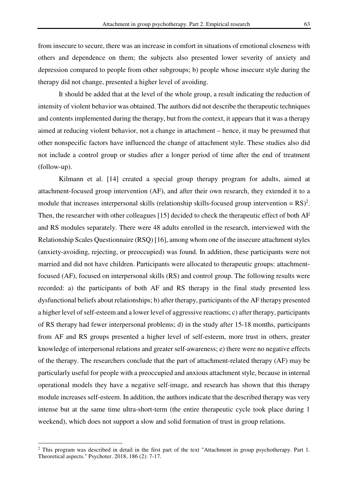from insecure to secure, there was an increase in comfort in situations of emotional closeness with others and dependence on them; the subjects also presented lower severity of anxiety and depression compared to people from other subgroups; b) people whose insecure style during the therapy did not change, presented a higher level of avoiding.

It should be added that at the level of the whole group, a result indicating the reduction of intensity of violent behavior was obtained. The authors did not describe the therapeutic techniques and contents implemented during the therapy, but from the context, it appears that it was a therapy aimed at reducing violent behavior, not a change in attachment – hence, it may be presumed that other nonspecific factors have influenced the change of attachment style. These studies also did not include a control group or studies after a longer period of time after the end of treatment (follow-up).

Kilmann et al. [14] created a special group therapy program for adults, aimed at attachment-focused group intervention (AF), and after their own research, they extended it to a module that increases interpersonal skills (relationship skills-focused group intervention =  $RS)^2$ . Then, the researcher with other colleagues [15] decided to check the therapeutic effect of both AF and RS modules separately. There were 48 adults enrolled in the research, interviewed with the Relationship Scales Questionnaire (RSQ) [16], among whom one of the insecure attachment styles (anxiety-avoiding, rejecting, or preoccupied) was found. In addition, these participants were not married and did not have children. Participants were allocated to therapeutic groups: attachmentfocused (AF), focused on interpersonal skills (RS) and control group. The following results were recorded: a) the participants of both AF and RS therapy in the final study presented less dysfunctional beliefs about relationships; b) after therapy, participants of the AF therapy presented a higher level of self-esteem and a lower level of aggressive reactions; c) after therapy, participants of RS therapy had fewer interpersonal problems; d) in the study after 15-18 months, participants from AF and RS groups presented a higher level of self-esteem, more trust in others, greater knowledge of interpersonal relations and greater self-awareness; e) there were no negative effects of the therapy. The researchers conclude that the part of attachment-related therapy (AF) may be particularly useful for people with a preoccupied and anxious attachment style, because in internal operational models they have a negative self-image, and research has shown that this therapy module increases self-esteem. In addition, the authors indicate that the described therapy was very intense but at the same time ultra-short-term (the entire therapeutic cycle took place during 1 weekend), which does not support a slow and solid formation of trust in group relations.

l

<sup>&</sup>lt;sup>2</sup> This program was described in detail in the first part of the text "Attachment in group psychotherapy. Part 1. Theoretical aspects." Psychoter. 2018, 186 (2): 7-17.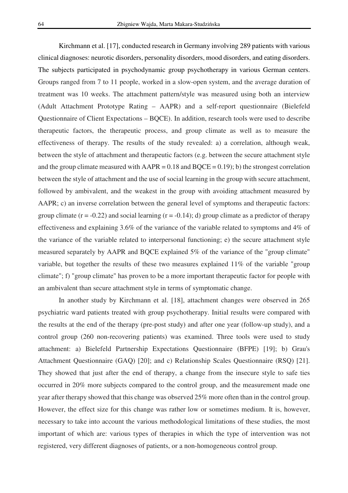Kirchmann et al. [17], conducted research in Germany involving 289 patients with various clinical diagnoses: neurotic disorders, personality disorders, mood disorders, and eating disorders. The subjects participated in psychodynamic group psychotherapy in various German centers. Groups ranged from 7 to 11 people, worked in a slow-open system, and the average duration of treatment was 10 weeks. The attachment pattern/style was measured using both an interview (Adult Attachment Prototype Rating – AAPR) and a self-report questionnaire (Bielefeld Questionnaire of Client Expectations – BQCE). In addition, research tools were used to describe therapeutic factors, the therapeutic process, and group climate as well as to measure the effectiveness of therapy. The results of the study revealed: a) a correlation, although weak, between the style of attachment and therapeutic factors (e.g. between the secure attachment style and the group climate measured with  $AAPR = 0.18$  and  $BQCE = 0.19$ ; b) the strongest correlation between the style of attachment and the use of social learning in the group with secure attachment, followed by ambivalent, and the weakest in the group with avoiding attachment measured by AAPR; c) an inverse correlation between the general level of symptoms and therapeutic factors: group climate  $(r = -0.22)$  and social learning  $(r = -0.14)$ ; d) group climate as a predictor of therapy effectiveness and explaining 3.6% of the variance of the variable related to symptoms and 4% of the variance of the variable related to interpersonal functioning; e) the secure attachment style measured separately by AAPR and BQCE explained 5% of the variance of the "group climate" variable, but together the results of these two measures explained 11% of the variable "group climate"; f) "group climate" has proven to be a more important therapeutic factor for people with an ambivalent than secure attachment style in terms of symptomatic change.

In another study by Kirchmann et al. [18], attachment changes were observed in 265 psychiatric ward patients treated with group psychotherapy. Initial results were compared with the results at the end of the therapy (pre-post study) and after one year (follow-up study), and a control group (260 non-recovering patients) was examined. Three tools were used to study attachment: a) Bielefeld Partnership Expectations Questionnaire (BFPE) [19]; b) Grau's Attachment Questionnaire (GAQ) [20]; and c) Relationship Scales Questionnaire (RSQ) [21]. They showed that just after the end of therapy, a change from the insecure style to safe ties occurred in 20% more subjects compared to the control group, and the measurement made one year after therapy showed that this change was observed 25% more often than in the control group. However, the effect size for this change was rather low or sometimes medium. It is, however, necessary to take into account the various methodological limitations of these studies, the most important of which are: various types of therapies in which the type of intervention was not registered, very different diagnoses of patients, or a non-homogeneous control group.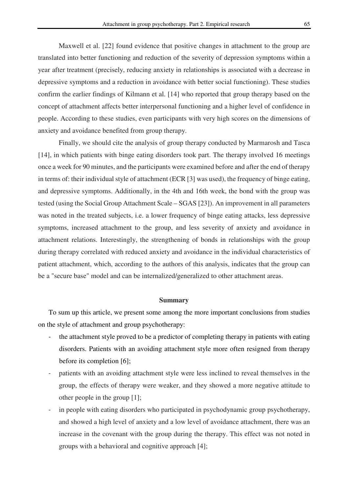Maxwell et al. [22] found evidence that positive changes in attachment to the group are translated into better functioning and reduction of the severity of depression symptoms within a year after treatment (precisely, reducing anxiety in relationships is associated with a decrease in depressive symptoms and a reduction in avoidance with better social functioning). These studies confirm the earlier findings of Kilmann et al. [14] who reported that group therapy based on the concept of attachment affects better interpersonal functioning and a higher level of confidence in people. According to these studies, even participants with very high scores on the dimensions of anxiety and avoidance benefited from group therapy.

Finally, we should cite the analysis of group therapy conducted by Marmarosh and Tasca [14], in which patients with binge eating disorders took part. The therapy involved 16 meetings once a week for 90 minutes, and the participants were examined before and after the end of therapy in terms of: their individual style of attachment (ECR [3] was used), the frequency of binge eating, and depressive symptoms. Additionally, in the 4th and 16th week, the bond with the group was tested (using the Social Group Attachment Scale – SGAS [23]). An improvement in all parameters was noted in the treated subjects, i.e. a lower frequency of binge eating attacks, less depressive symptoms, increased attachment to the group, and less severity of anxiety and avoidance in attachment relations. Interestingly, the strengthening of bonds in relationships with the group during therapy correlated with reduced anxiety and avoidance in the individual characteristics of patient attachment, which, according to the authors of this analysis, indicates that the group can be a "secure base" model and can be internalized/generalized to other attachment areas.

#### **Summary**

To sum up this article, we present some among the more important conclusions from studies on the style of attachment and group psychotherapy:

- the attachment style proved to be a predictor of completing therapy in patients with eating disorders. Patients with an avoiding attachment style more often resigned from therapy before its completion [6];
- patients with an avoiding attachment style were less inclined to reveal themselves in the group, the effects of therapy were weaker, and they showed a more negative attitude to other people in the group [1];
- in people with eating disorders who participated in psychodynamic group psychotherapy, and showed a high level of anxiety and a low level of avoidance attachment, there was an increase in the covenant with the group during the therapy. This effect was not noted in groups with a behavioral and cognitive approach [4];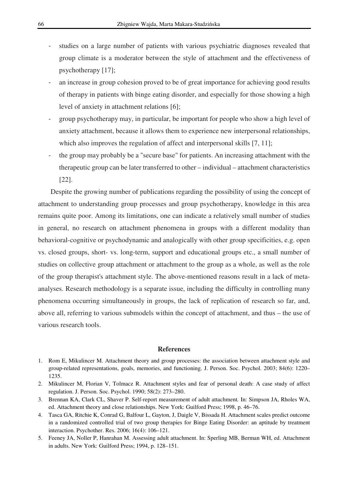- studies on a large number of patients with various psychiatric diagnoses revealed that group climate is a moderator between the style of attachment and the effectiveness of psychotherapy [17];
- an increase in group cohesion proved to be of great importance for achieving good results of therapy in patients with binge eating disorder, and especially for those showing a high level of anxiety in attachment relations [6];
- group psychotherapy may, in particular, be important for people who show a high level of anxiety attachment, because it allows them to experience new interpersonal relationships, which also improves the regulation of affect and interpersonal skills [7, 11];
- the group may probably be a "secure base" for patients. An increasing attachment with the therapeutic group can be later transferred to other – individual – attachment characteristics [22].

Despite the growing number of publications regarding the possibility of using the concept of attachment to understanding group processes and group psychotherapy, knowledge in this area remains quite poor. Among its limitations, one can indicate a relatively small number of studies in general, no research on attachment phenomena in groups with a different modality than behavioral-cognitive or psychodynamic and analogically with other group specificities, e.g. open vs. closed groups, short- vs. long-term, support and educational groups etc., a small number of studies on collective group attachment or attachment to the group as a whole, as well as the role of the group therapist's attachment style. The above-mentioned reasons result in a lack of metaanalyses. Research methodology is a separate issue, including the difficulty in controlling many phenomena occurring simultaneously in groups, the lack of replication of research so far, and, above all, referring to various submodels within the concept of attachment, and thus – the use of various research tools.

#### **References**

- 1. Rom E, Mikulincer M. Attachment theory and group processes: the association between attachment style and group-related representations, goals, memories, and functioning. J. Person. Soc. Psychol. 2003; 84(6): 1220– 1235.
- 2. Mikulincer M, Florian V, Tolmacz R. Attachment styles and fear of personal death: A case study of affect regulation. J. Person. Soc. Psychol. 1990; 58(2): 273–280.
- 3. Brennan KA, Clark CL, Shaver P. Self-report measurement of adult attachment*.* In: Simpson JA, Rholes WA, ed. Attachment theory and close relationships. New York: Guilford Press; 1998, p. 46–76.
- 4. Tasca GA, Ritchie K, Conrad G, Balfour L, Gayton, J, Daigle V, Bissada H. Attachment scales predict outcome in a randomized controlled trial of two group therapies for Binge Eating Disorder: an aptitude by treatment interaction. Psychother. Res. 2006; 16(4): 106–121.
- 5. Feeney JA, Noller P, Hanrahan M. Assessing adult attachment. In: Sperling MB, Berman WH, ed. Attachment in adults. New York: Guilford Press; 1994, p. 128–151.